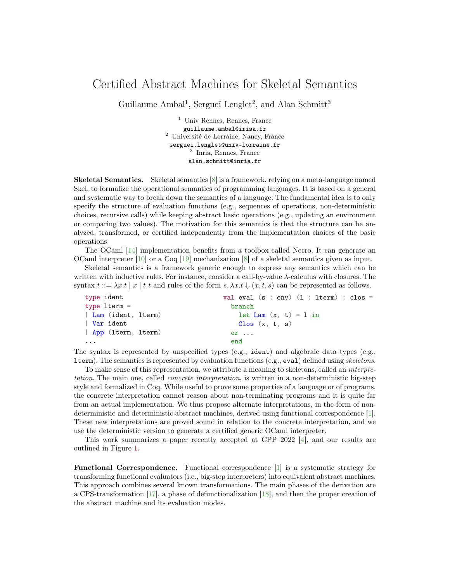## Certified Abstract Machines for Skeletal Semantics

Guillaume Ambal<sup>1</sup>, Sergueï Lenglet<sup>2</sup>, and Alan Schmitt<sup>3</sup>

<sup>1</sup> Univ Rennes, Rennes, France guillaume.ambal@irisa.fr <sup>2</sup> Université de Lorraine, Nancy, France serguei.lenglet@univ-lorraine.fr 3 Inria, Rennes, France alan.schmitt@inria.fr

Skeletal Semantics. Skeletal semantics [\[8\]](#page-2-0) is a framework, relying on a meta-language named Skel, to formalize the operational semantics of programming languages. It is based on a general and systematic way to break down the semantics of a language. The fundamental idea is to only specify the structure of evaluation functions (e.g., sequences of operations, non-deterministic choices, recursive calls) while keeping abstract basic operations (e.g., updating an environment or comparing two values). The motivation for this semantics is that the structure can be analyzed, transformed, or certified independently from the implementation choices of the basic operations.

The OCaml [\[14\]](#page-2-1) implementation benefits from a toolbox called Necro. It can generate an OCaml interpreter [\[10\]](#page-2-2) or a Coq [\[19\]](#page-3-0) mechanization [\[8\]](#page-2-0) of a skeletal semantics given as input.

Skeletal semantics is a framework generic enough to express any semantics which can be written with inductive rules. For instance, consider a call-by-value  $\lambda$ -calculus with closures. The syntax  $t ::= \lambda x.t \mid x \mid t \text{ and rules of the form } s, \lambda x.t \Downarrow (x, t, s)$  can be represented as follows.

| type ident         | val eval $(s : env)$ $(1 : iterm) : clos =$ |
|--------------------|---------------------------------------------|
| type $ltern =$     | branch                                      |
| Lam (ident, lterm) | let $\text{Lam}(x, t) = 1$ in               |
| Var ident          | Clos(x, t, s)                               |
| App (lterm, lterm) | $or \ldots$                                 |
| .                  | end                                         |

The syntax is represented by unspecified types (e.g., ident) and algebraic data types (e.g., lterm). The semantics is represented by evaluation functions (e.g., eval) defined using skeletons.

To make sense of this representation, we attribute a meaning to skeletons, called an *interpre*tation. The main one, called *concrete interpretation*, is written in a non-deterministic big-step style and formalized in Coq. While useful to prove some properties of a language or of programs, the concrete interpretation cannot reason about non-terminating programs and it is quite far from an actual implementation. We thus propose alternate interpretations, in the form of nondeterministic and deterministic abstract machines, derived using functional correspondence [\[1\]](#page-2-3). These new interpretations are proved sound in relation to the concrete interpretation, and we use the deterministic version to generate a certified generic OCaml interpreter.

This work summarizes a paper recently accepted at CPP 2022 [\[4\]](#page-2-4), and our results are outlined in Figure [1.](#page-1-0)

Functional Correspondence. Functional correspondence [\[1\]](#page-2-3) is a systematic strategy for transforming functional evaluators (i.e., big-step interpreters) into equivalent abstract machines. This approach combines several known transformations. The main phases of the derivation are a CPS-transformation [\[17\]](#page-3-1), a phase of defunctionalization [\[18\]](#page-3-2), and then the proper creation of the abstract machine and its evaluation modes.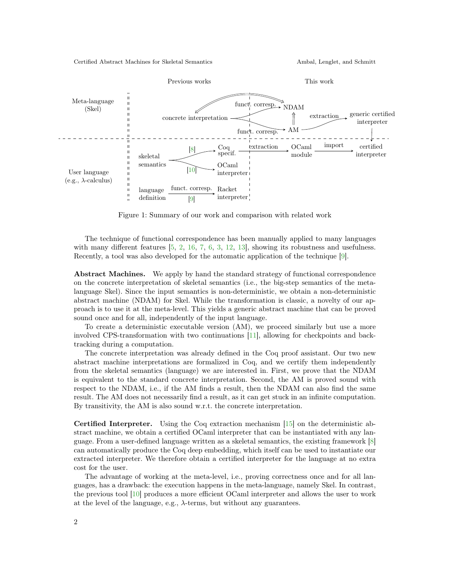Certified Abstract Machines for Skeletal Semantics Ambal, Lenglet, and Schmitt



Figure 1: Summary of our work and comparison with related work

<span id="page-1-0"></span>The technique of functional correspondence has been manually applied to many languages with many different features [\[5,](#page-2-6) [2,](#page-2-7) [16,](#page-2-8) [7,](#page-2-9) [6,](#page-2-10) [3,](#page-2-11) [12,](#page-2-12) [13\]](#page-2-13), showing its robustness and usefulness. Recently, a tool was also developed for the automatic application of the technique [\[9\]](#page-2-5).

Abstract Machines. We apply by hand the standard strategy of functional correspondence on the concrete interpretation of skeletal semantics (i.e., the big-step semantics of the metalanguage Skel). Since the input semantics is non-deterministic, we obtain a non-deterministic abstract machine (NDAM) for Skel. While the transformation is classic, a novelty of our approach is to use it at the meta-level. This yields a generic abstract machine that can be proved sound once and for all, independently of the input language.

To create a deterministic executable version (AM), we proceed similarly but use a more involved CPS-transformation with two continuations [\[11\]](#page-2-14), allowing for checkpoints and backtracking during a computation.

The concrete interpretation was already defined in the Coq proof assistant. Our two new abstract machine interpretations are formalized in Coq, and we certify them independently from the skeletal semantics (language) we are interested in. First, we prove that the NDAM is equivalent to the standard concrete interpretation. Second, the AM is proved sound with respect to the NDAM, i.e., if the AM finds a result, then the NDAM can also find the same result. The AM does not necessarily find a result, as it can get stuck in an infinite computation. By transitivity, the AM is also sound w.r.t. the concrete interpretation.

Certified Interpreter. Using the Coq extraction mechanism [\[15\]](#page-2-15) on the deterministic abstract machine, we obtain a certified OCaml interpreter that can be instantiated with any language. From a user-defined language written as a skeletal semantics, the existing framework [\[8\]](#page-2-0) can automatically produce the Coq deep embedding, which itself can be used to instantiate our extracted interpreter. We therefore obtain a certified interpreter for the language at no extra cost for the user.

The advantage of working at the meta-level, i.e., proving correctness once and for all languages, has a drawback: the execution happens in the meta-language, namely Skel. In contrast, the previous tool [\[10\]](#page-2-2) produces a more efficient OCaml interpreter and allows the user to work at the level of the language, e.g.,  $\lambda$ -terms, but without any guarantees.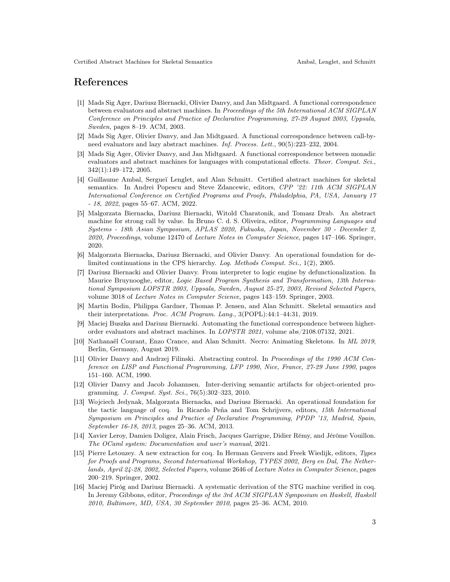## References

- <span id="page-2-3"></span>[1] Mads Sig Ager, Dariusz Biernacki, Olivier Danvy, and Jan Midtgaard. A functional correspondence between evaluators and abstract machines. In Proceedings of the 5th International ACM SIGPLAN Conference on Principles and Practice of Declarative Programming, 27-29 August 2003, Uppsala, Sweden, pages 8–19. ACM, 2003.
- <span id="page-2-7"></span>[2] Mads Sig Ager, Olivier Danvy, and Jan Midtgaard. A functional correspondence between call-byneed evaluators and lazy abstract machines. Inf. Process. Lett., 90(5):223–232, 2004.
- <span id="page-2-11"></span>[3] Mads Sig Ager, Olivier Danvy, and Jan Midtgaard. A functional correspondence between monadic evaluators and abstract machines for languages with computational effects. Theor. Comput. Sci., 342(1):149–172, 2005.
- <span id="page-2-4"></span>[4] Guillaume Ambal, Sergueï Lenglet, and Alan Schmitt. Certified abstract machines for skeletal semantics. In Andrei Popescu and Steve Zdancewic, editors, CPP '22: 11th ACM SIGPLAN International Conference on Certified Programs and Proofs, Philadelphia, PA, USA, January 17 - 18, 2022, pages 55–67. ACM, 2022.
- <span id="page-2-6"></span>[5] Malgorzata Biernacka, Dariusz Biernacki, Witold Charatonik, and Tomasz Drab. An abstract machine for strong call by value. In Bruno C. d. S. Oliveira, editor, *Programming Languages and* Systems - 18th Asian Symposium, APLAS 2020, Fukuoka, Japan, November 30 - December 2, 2020, Proceedings, volume 12470 of Lecture Notes in Computer Science, pages 147–166. Springer, 2020.
- <span id="page-2-10"></span>[6] Malgorzata Biernacka, Dariusz Biernacki, and Olivier Danvy. An operational foundation for delimited continuations in the CPS hierarchy. Log. Methods Comput. Sci., 1(2), 2005.
- <span id="page-2-9"></span>[7] Dariusz Biernacki and Olivier Danvy. From interpreter to logic engine by defunctionalization. In Maurice Bruynooghe, editor, Logic Based Program Synthesis and Transformation, 13th International Symposium LOPSTR 2003, Uppsala, Sweden, August 25-27, 2003, Revised Selected Papers, volume 3018 of Lecture Notes in Computer Science, pages 143–159. Springer, 2003.
- <span id="page-2-0"></span>[8] Martin Bodin, Philippa Gardner, Thomas P. Jensen, and Alan Schmitt. Skeletal semantics and their interpretations. Proc. ACM Program. Lang., 3(POPL):44:1–44:31, 2019.
- <span id="page-2-5"></span>[9] Maciej Buszka and Dariusz Biernacki. Automating the functional correspondence between higherorder evaluators and abstract machines. In LOPSTR 2021, volume abs/2108.07132, 2021.
- <span id="page-2-2"></span>[10] Nathanaël Courant, Enzo Crance, and Alan Schmitt. Necro: Animating Skeletons. In ML 2019, Berlin, Germany, August 2019.
- <span id="page-2-14"></span>[11] Olivier Danvy and Andrzej Filinski. Abstracting control. In Proceedings of the 1990 ACM Conference on LISP and Functional Programming, LFP 1990, Nice, France, 27-29 June 1990, pages 151–160. ACM, 1990.
- <span id="page-2-12"></span>[12] Olivier Danvy and Jacob Johannsen. Inter-deriving semantic artifacts for object-oriented programming. J. Comput. Syst. Sci., 76(5):302–323, 2010.
- <span id="page-2-13"></span>[13] Wojciech Jedynak, Malgorzata Biernacka, and Dariusz Biernacki. An operational foundation for the tactic language of coq. In Ricardo Peña and Tom Schrijvers, editors, 15th International Symposium on Principles and Practice of Declarative Programming, PPDP '13, Madrid, Spain, September 16-18, 2013, pages 25–36. ACM, 2013.
- <span id="page-2-1"></span>[14] Xavier Leroy, Damien Doligez, Alain Frisch, Jacques Garrigue, Didier Rémy, and Jérôme Vouillon. The OCaml system: Documentation and user's manual, 2021.
- <span id="page-2-15"></span>[15] Pierre Letouzey. A new extraction for coq. In Herman Geuvers and Freek Wiedijk, editors, Types for Proofs and Programs, Second International Workshop, TYPES 2002, Berg en Dal, The Netherlands, April 24-28, 2002, Selected Papers, volume 2646 of Lecture Notes in Computer Science, pages 200–219. Springer, 2002.
- <span id="page-2-8"></span>[16] Maciej Piróg and Dariusz Biernacki. A systematic derivation of the STG machine verified in coq. In Jeremy Gibbons, editor, Proceedings of the 3rd ACM SIGPLAN Symposium on Haskell, Haskell 2010, Baltimore, MD, USA, 30 September 2010, pages 25–36. ACM, 2010.